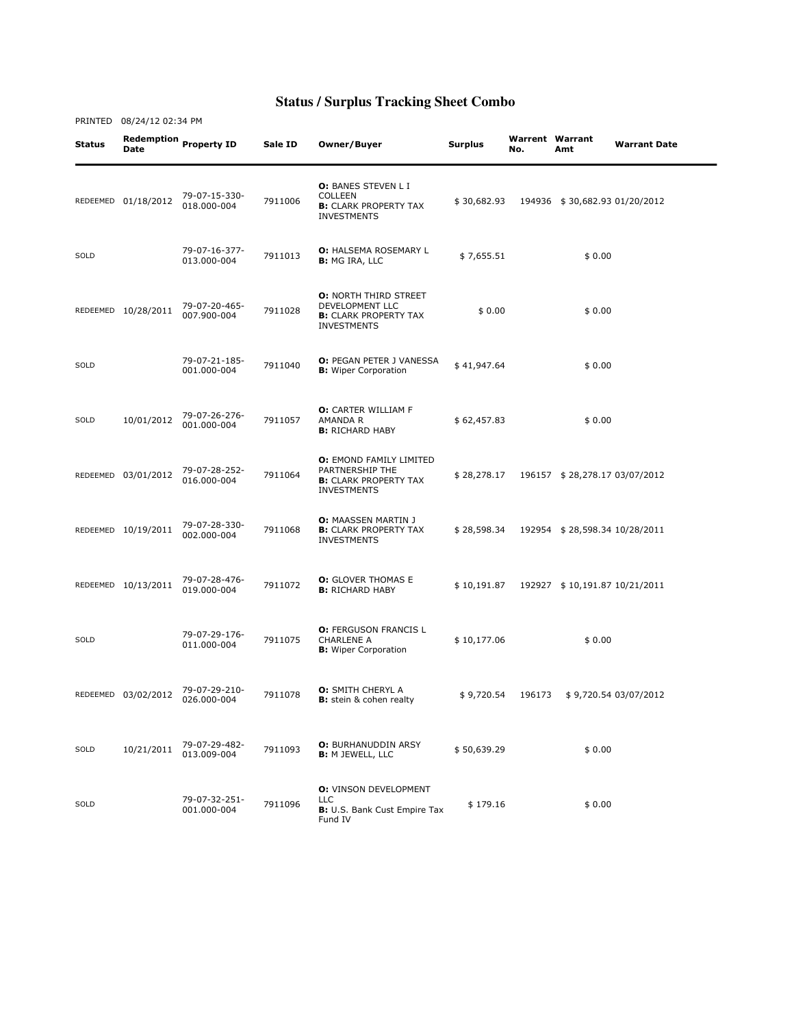## **Status / Surplus Tracking Sheet Combo**

PRINTED 08/24/12 02:34 PM

Status Redemption Date Property ID Sale ID Owner/Buyer Surplus Warrent No. Warrent Warrant<br>No. Amt **Warrant Date** REDEEMED 01/18/2012 79-07-15-330- 018.000-004 <sup>7911006</sup> O: BANES STEVEN L I COLLEEN **B:** CLARK PROPERTY TAX INVESTMENTS \$ 30,682.93 194936 \$ 30,682.93 01/20/2012 SOLD 79-07-16-377- 7911013 O: HALSEMA ROSEMARY L **O:** HALSEMA ROSEMARY L  $$7,655.51$   $$0.00$ REDEEMED 10/28/2011 79-07-20-465-007.900-004 <sup>7911028</sup> O: NORTH THIRD STREET DEVELOPMENT LLC **B:** CLARK PROPERTY TAX INVESTMENTS  $$0.00$   $$0.00$ SOLD 79-07-21-185- 001.000-004 <sup>7911040</sup> O: PEGAN PETER J VANESSA B: Wiper Corporation \$ 41,947.64 \$ 0.00 SOLD 10/01/2012 79-07-26-276- 79-07-26-276-<br>001.000-004 7911057 O: CARTER WILLIAM F AMANDA R **B: RICHARD HABY** \$ 62,457.83 \$ 0.00 REDEEMED 03/01/2012 79-07-28-252- 016.000-004 <sup>7911064</sup> O: EMOND FAMILY LIMITED PARTNERSHIP THE **B:** CLARK PROPERTY TAX INVESTMENTS \$ 28,278.17 196157 \$ 28,278.17 03/07/2012 REDEEMED 10/19/2011 79-07-28-330- 002.000-004 <sup>7911068</sup> O: MAASSEN MARTIN J **B: CLARK PROPERTY TAX** INVESTMENTS \$ 28,598.34 192954 \$ 28,598.34 10/28/2011 REDEEMED 10/13/2011 79-07-28-476- **0:** GLOVER THOMAS E<br>**B:** RICHARD HABY B: RICHARD HABY \$ 10,191.87 192927 \$ 10,191.87 10/21/2011 SOLD 79-07-29-176- 011.000-004 <sup>7911075</sup> O: FERGUSON FRANCIS L CHARLENE A **B:** Wiper Corporation  $$10,177.06$   $$0.00$ REDEEMED 03/02/2012 79-07-29-210- 7911078 **O:** SMITH CHERYL A<br>**B:** stein & cohen realty \$ 9,720.54 196173 \$ 9,720.54 03/07/2012 SOLD 10/21/2011 79-07-29-482- 013.009-004 <sup>7911093</sup> O: BURHANUDDIN ARSY B: M JEWELL, LLC \$ 50,639.29 \$ 0.00 SOLD 79-07-32-251- 79-07-32-251-<br>001.000-004 7911096 O: VINSON DEVELOPMENT LLC B: U.S. Bank Cust Empire Tax Fund IV  $$179.16$   $$0.00$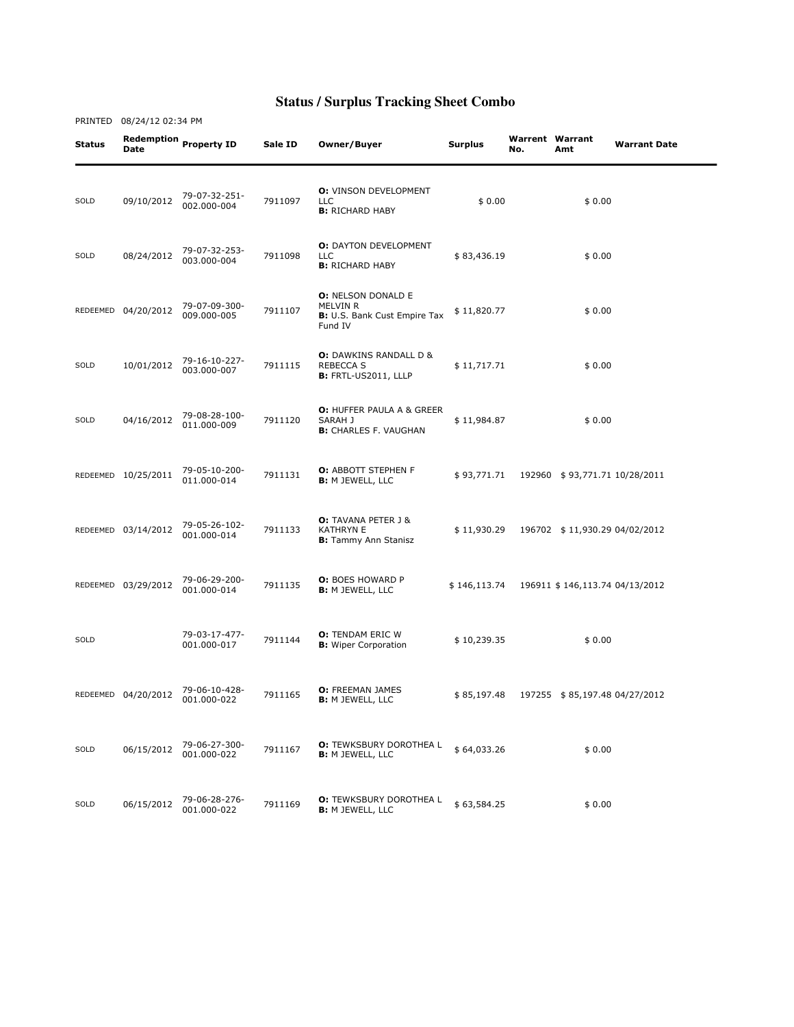## **Status / Surplus Tracking Sheet Combo**

| <b>Status</b> | Date                | Redemption Property ID       | Sale ID | Owner/Buyer                                                                             | <b>Surplus</b> | No. | <b>Warrent Warrant</b><br>Amt  | <b>Warrant Date</b> |
|---------------|---------------------|------------------------------|---------|-----------------------------------------------------------------------------------------|----------------|-----|--------------------------------|---------------------|
| SOLD          | 09/10/2012          | 79-07-32-251-<br>002.000-004 | 7911097 | <b>O:</b> VINSON DEVELOPMENT<br><b>LLC</b><br><b>B:</b> RICHARD HABY                    | \$0.00         |     | \$0.00                         |                     |
| SOLD          | 08/24/2012          | 79-07-32-253-<br>003.000-004 | 7911098 | <b>O: DAYTON DEVELOPMENT</b><br><b>LLC</b><br><b>B:</b> RICHARD HABY                    | \$83,436.19    |     | \$0.00                         |                     |
|               | REDEEMED 04/20/2012 | 79-07-09-300-<br>009.000-005 | 7911107 | <b>O: NELSON DONALD E</b><br><b>MELVIN R</b><br>B: U.S. Bank Cust Empire Tax<br>Fund IV | \$11,820.77    |     | \$0.00                         |                     |
| SOLD          | 10/01/2012          | 79-16-10-227-<br>003.000-007 | 7911115 | <b>O:</b> DAWKINS RANDALL D &<br><b>REBECCA S</b><br><b>B:</b> FRTL-US2011, LLLP        | \$11,717.71    |     | \$0.00                         |                     |
| SOLD          | 04/16/2012          | 79-08-28-100-<br>011.000-009 | 7911120 | <b>O: HUFFER PAULA A &amp; GREER</b><br>SARAH J<br><b>B:</b> CHARLES F. VAUGHAN         | \$11,984.87    |     | \$0.00                         |                     |
|               | REDEEMED 10/25/2011 | 79-05-10-200-<br>011.000-014 | 7911131 | <b>O: ABBOTT STEPHEN F</b><br><b>B: M JEWELL, LLC</b>                                   | \$93,771.71    |     | 192960 \$93,771.71 10/28/2011  |                     |
|               | REDEEMED 03/14/2012 | 79-05-26-102-<br>001.000-014 | 7911133 | <b>O:</b> TAVANA PETER J &<br><b>KATHRYN E</b><br><b>B:</b> Tammy Ann Stanisz           | \$11,930.29    |     | 196702 \$11,930.29 04/02/2012  |                     |
|               | REDEEMED 03/29/2012 | 79-06-29-200-<br>001.000-014 | 7911135 | <b>O:</b> BOES HOWARD P<br><b>B:</b> M JEWELL, LLC                                      | \$146,113.74   |     | 196911 \$146,113.74 04/13/2012 |                     |
| SOLD          |                     | 79-03-17-477-<br>001.000-017 | 7911144 | <b>O:</b> TENDAM ERIC W<br><b>B:</b> Wiper Corporation                                  | \$10,239.35    |     | \$0.00                         |                     |
|               | REDEEMED 04/20/2012 | 79-06-10-428-<br>001.000-022 | 7911165 | <b>O: FREEMAN JAMES</b><br><b>B:</b> M JEWELL, LLC                                      | \$85,197.48    |     | 197255 \$85,197.48 04/27/2012  |                     |
| SOLD          | 06/15/2012          | 79-06-27-300-<br>001.000-022 | 7911167 | <b>O:</b> TEWKSBURY DOROTHEA L<br><b>B:</b> M JEWELL, LLC                               | \$64,033.26    |     | \$0.00                         |                     |
| SOLD          | 06/15/2012          | 79-06-28-276-<br>001.000-022 | 7911169 | <b>O: TEWKSBURY DOROTHEA L</b><br><b>B: M JEWELL, LLC</b>                               | \$63,584.25    |     | \$0.00                         |                     |

PRINTED 08/24/12 02:34 PM